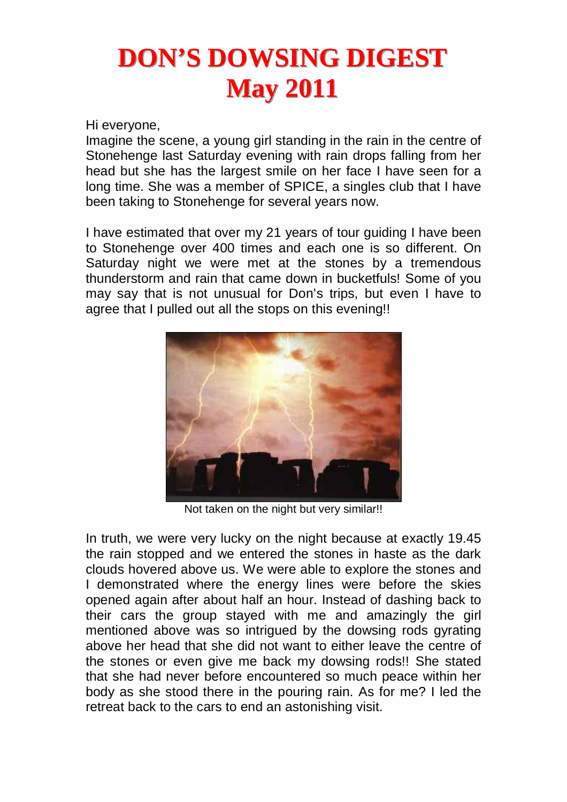# **DON'S DOWSING DIGEST May 2011**

Hi everyone,

Imagine the scene, a young girl standing in the rain in the centre of Stonehenge last Saturday evening with rain drops falling from her head but she has the largest smile on her face I have seen for a long time. She was a member of SPICE, a singles club that I have been taking to Stonehenge for several years now.

I have estimated that over my 21 years of tour guiding I have been to Stonehenge over 400 times and each one is so different. On Saturday night we were met at the stones by a tremendous thunderstorm and rain that came down in bucketfuls! Some of you may say that is not unusual for Don's trips, but even I have to agree that I pulled out all the stops on this evening!!



Not taken on the night but very similar!!

In truth, we were very lucky on the night because at exactly 19.45 the rain stopped and we entered the stones in haste as the dark clouds hovered above us. We were able to explore the stones and I demonstrated where the energy lines were before the skies opened again after about half an hour. Instead of dashing back to their cars the group stayed with me and amazingly the girl mentioned above was so intrigued by the dowsing rods gyrating above her head that she did not want to either leave the centre of the stones or even give me back my dowsing rods!! She stated that she had never before encountered so much peace within her body as she stood there in the pouring rain. As for me? I led the retreat back to the cars to end an astonishing visit.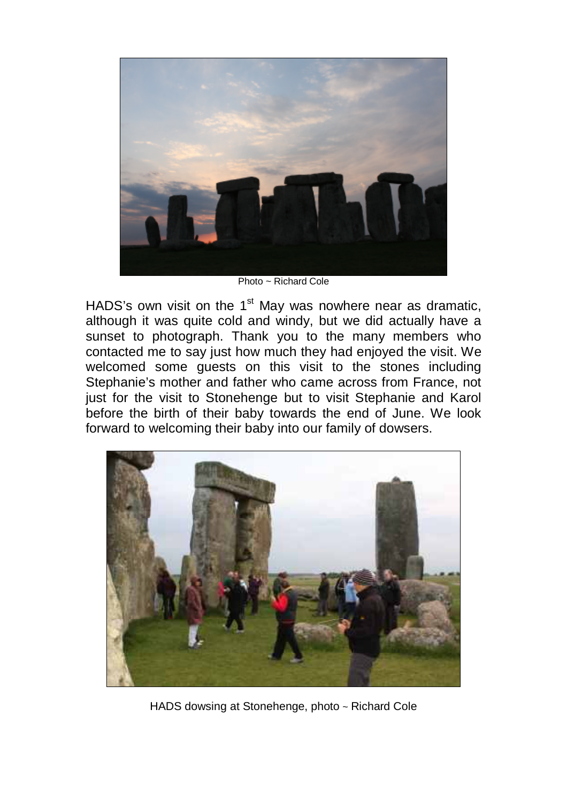

Photo ~ Richard Cole

HADS's own visit on the  $1<sup>st</sup>$  May was nowhere near as dramatic, although it was quite cold and windy, but we did actually have a sunset to photograph. Thank you to the many members who contacted me to say just how much they had enjoyed the visit. We welcomed some guests on this visit to the stones including Stephanie's mother and father who came across from France, not just for the visit to Stonehenge but to visit Stephanie and Karol before the birth of their baby towards the end of June. We look forward to welcoming their baby into our family of dowsers.



HADS dowsing at Stonehenge, photo ~ Richard Cole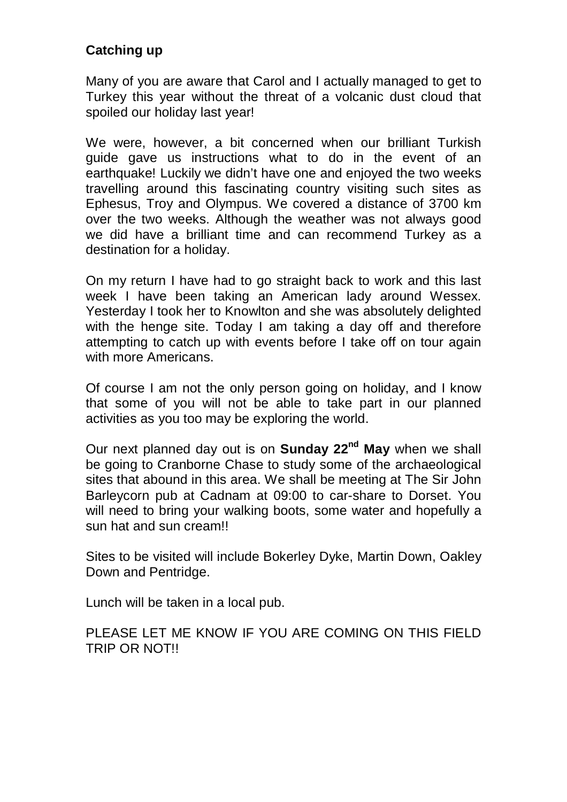#### **Catching up**

Many of you are aware that Carol and I actually managed to get to Turkey this year without the threat of a volcanic dust cloud that spoiled our holiday last year!

We were, however, a bit concerned when our brilliant Turkish guide gave us instructions what to do in the event of an earthquake! Luckily we didn't have one and enjoyed the two weeks travelling around this fascinating country visiting such sites as Ephesus, Troy and Olympus. We covered a distance of 3700 km over the two weeks. Although the weather was not always good we did have a brilliant time and can recommend Turkey as a destination for a holiday.

On my return I have had to go straight back to work and this last week I have been taking an American lady around Wessex. Yesterday I took her to Knowlton and she was absolutely delighted with the henge site. Today I am taking a day off and therefore attempting to catch up with events before I take off on tour again with more Americans.

Of course I am not the only person going on holiday, and I know that some of you will not be able to take part in our planned activities as you too may be exploring the world.

Our next planned day out is on **Sunday 22nd May** when we shall be going to Cranborne Chase to study some of the archaeological sites that abound in this area. We shall be meeting at The Sir John Barleycorn pub at Cadnam at 09:00 to car-share to Dorset. You will need to bring your walking boots, some water and hopefully a sun hat and sun cream!!

Sites to be visited will include Bokerley Dyke, Martin Down, Oakley Down and Pentridge.

Lunch will be taken in a local pub.

PLEASE LET ME KNOW IF YOU ARE COMING ON THIS FIELD TRIP OR NOT!!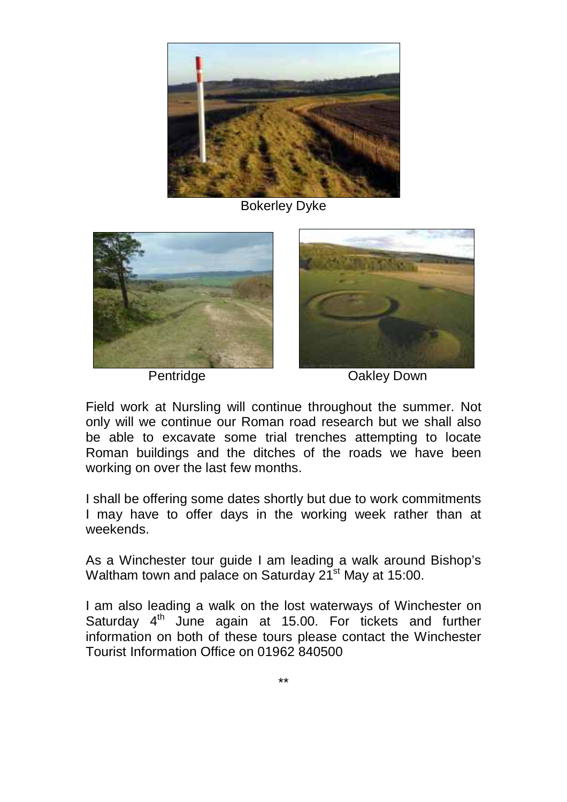

Bokerley Dyke





Pentridge Oakley Down

Field work at Nursling will continue throughout the summer. Not only will we continue our Roman road research but we shall also be able to excavate some trial trenches attempting to locate Roman buildings and the ditches of the roads we have been working on over the last few months.

I shall be offering some dates shortly but due to work commitments I may have to offer days in the working week rather than at weekends.

As a Winchester tour guide I am leading a walk around Bishop's Waltham town and palace on Saturday 21<sup>st</sup> May at 15:00.

I am also leading a walk on the lost waterways of Winchester on Saturday  $4<sup>th</sup>$  June again at 15.00. For tickets and further information on both of these tours please contact the Winchester Tourist Information Office on 01962 840500

\*\*